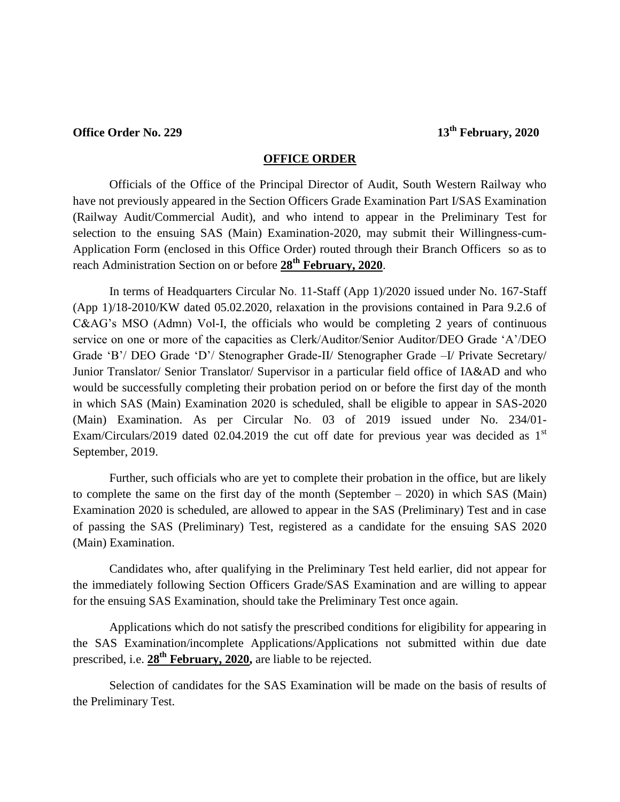## **Office Order No. 229** 13<sup>th</sup> **February**, 2020

#### **OFFICE ORDER**

Officials of the Office of the Principal Director of Audit, South Western Railway who have not previously appeared in the Section Officers Grade Examination Part I/SAS Examination (Railway Audit/Commercial Audit), and who intend to appear in the Preliminary Test for selection to the ensuing SAS (Main) Examination-2020, may submit their Willingness-cum-Application Form (enclosed in this Office Order) routed through their Branch Officers so as to reach Administration Section on or before **28th February, 2020**.

In terms of Headquarters Circular No. 11-Staff (App 1)/2020 issued under No. 167-Staff (App 1)/18-2010/KW dated 05.02.2020, relaxation in the provisions contained in Para 9.2.6 of C&AG's MSO (Admn) Vol-I, the officials who would be completing 2 years of continuous service on one or more of the capacities as Clerk/Auditor/Senior Auditor/DEO Grade 'A'/DEO Grade 'B'/ DEO Grade 'D'/ Stenographer Grade-II/ Stenographer Grade –I/ Private Secretary/ Junior Translator/ Senior Translator/ Supervisor in a particular field office of IA&AD and who would be successfully completing their probation period on or before the first day of the month in which SAS (Main) Examination 2020 is scheduled, shall be eligible to appear in SAS-2020 (Main) Examination. As per Circular No. 03 of 2019 issued under No. 234/01- Exam/Circulars/2019 dated 02.04.2019 the cut off date for previous year was decided as  $1<sup>st</sup>$ September, 2019.

Further, such officials who are yet to complete their probation in the office, but are likely to complete the same on the first day of the month (September – 2020) in which SAS (Main) Examination 2020 is scheduled, are allowed to appear in the SAS (Preliminary) Test and in case of passing the SAS (Preliminary) Test, registered as a candidate for the ensuing SAS 2020 (Main) Examination.

Candidates who, after qualifying in the Preliminary Test held earlier, did not appear for the immediately following Section Officers Grade/SAS Examination and are willing to appear for the ensuing SAS Examination, should take the Preliminary Test once again.

Applications which do not satisfy the prescribed conditions for eligibility for appearing in the SAS Examination/incomplete Applications/Applications not submitted within due date prescribed, i.e. **28th February, 2020,** are liable to be rejected.

Selection of candidates for the SAS Examination will be made on the basis of results of the Preliminary Test.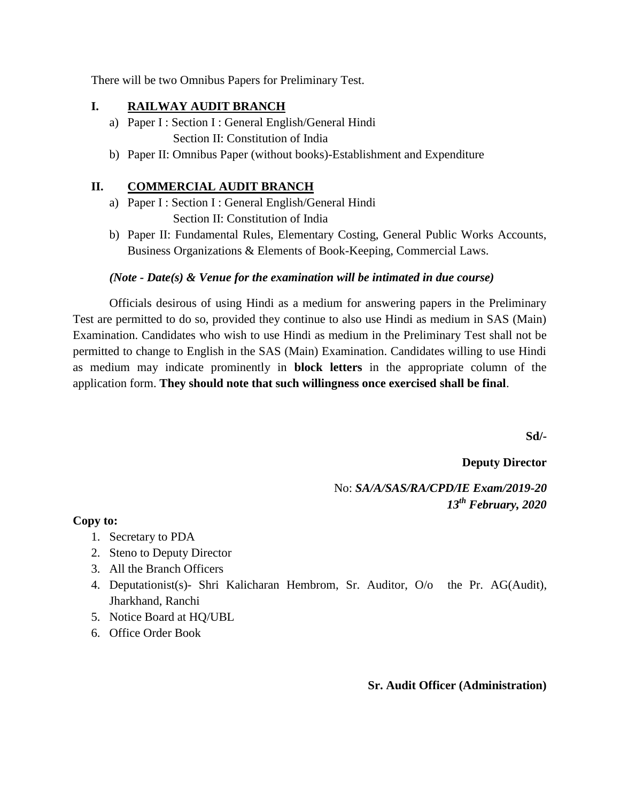There will be two Omnibus Papers for Preliminary Test.

#### **I. RAILWAY AUDIT BRANCH**

- a) Paper I : Section I : General English/General Hindi Section II: Constitution of India
- b) Paper II: Omnibus Paper (without books)-Establishment and Expenditure

### **II. COMMERCIAL AUDIT BRANCH**

- a) Paper I : Section I : General English/General Hindi Section II: Constitution of India
- b) Paper II: Fundamental Rules, Elementary Costing, General Public Works Accounts, Business Organizations & Elements of Book-Keeping, Commercial Laws.

#### *(Note - Date(s) & Venue for the examination will be intimated in due course)*

Officials desirous of using Hindi as a medium for answering papers in the Preliminary Test are permitted to do so, provided they continue to also use Hindi as medium in SAS (Main) Examination. Candidates who wish to use Hindi as medium in the Preliminary Test shall not be permitted to change to English in the SAS (Main) Examination. Candidates willing to use Hindi as medium may indicate prominently in **block letters** in the appropriate column of the application form. **They should note that such willingness once exercised shall be final**.

**Sd/-**

**Deputy Director** 

No: *SA/A/SAS/RA/CPD/IE Exam/2019-20 13th February, 2020*

**Copy to:**

- 1. Secretary to PDA
- 2. Steno to Deputy Director
- 3. All the Branch Officers
- 4. Deputationist(s)- Shri Kalicharan Hembrom, Sr. Auditor, O/o the Pr. AG(Audit), Jharkhand, Ranchi
- 5. Notice Board at HQ/UBL
- 6. Office Order Book

**Sr. Audit Officer (Administration)**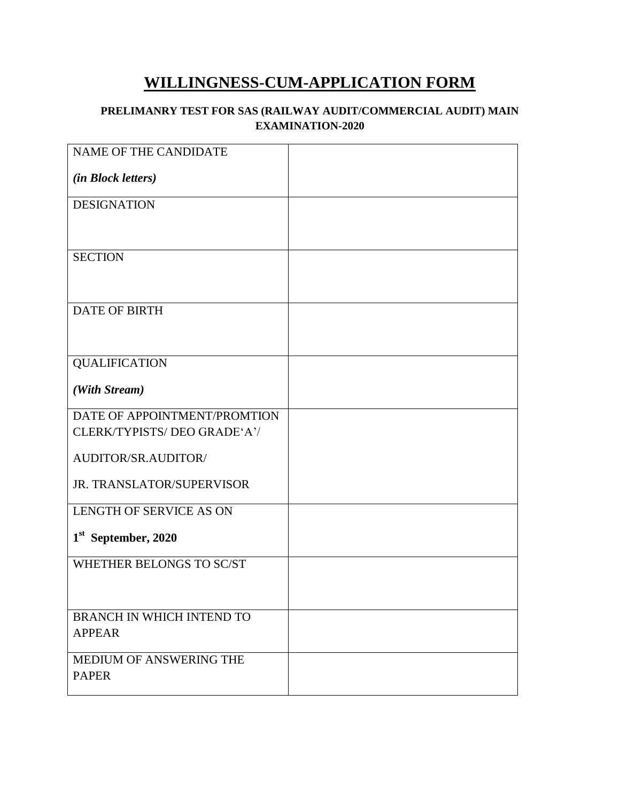# **WILLINGNESS-CUM-APPLICATION FORM**

#### **PRELIMANRY TEST FOR SAS (RAILWAY AUDIT/COMMERCIAL AUDIT) MAIN EXAMINATION-2020**

| NAME OF THE CANDIDATE            |  |
|----------------------------------|--|
| <i>(in Block letters)</i>        |  |
| <b>DESIGNATION</b>               |  |
|                                  |  |
| <b>SECTION</b>                   |  |
|                                  |  |
| <b>DATE OF BIRTH</b>             |  |
|                                  |  |
| <b>QUALIFICATION</b>             |  |
| (With Stream)                    |  |
| DATE OF APPOINTMENT/PROMTION     |  |
| CLERK/TYPISTS/ DEO GRADE'A'/     |  |
| AUDITOR/SR.AUDITOR/              |  |
| JR. TRANSLATOR/SUPERVISOR        |  |
| LENGTH OF SERVICE AS ON          |  |
| 1 <sup>st</sup> September, 2020  |  |
| WHETHER BELONGS TO SC/ST         |  |
|                                  |  |
| <b>BRANCH IN WHICH INTEND TO</b> |  |
| <b>APPEAR</b>                    |  |
| MEDIUM OF ANSWERING THE          |  |
| <b>PAPER</b>                     |  |